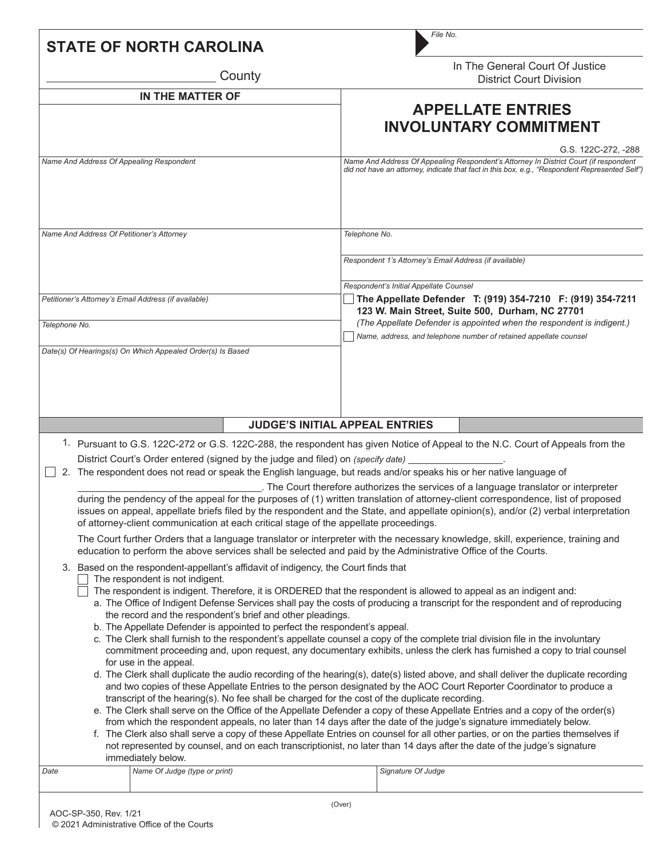| <b>STATE OF NORTH CAROLINA</b>                                                                                                                                                                                                                                                                                                                                                                                                                                                                                                                                                                                                                                                                       | File No.                                                                                                                                                                                                                                                                                                                                                                                                                                                                                                                                                                                                                                                                                                                                                                                                                                                                                                                                                                                                                                                                                                                                                                                                    |  |  |  |  |
|------------------------------------------------------------------------------------------------------------------------------------------------------------------------------------------------------------------------------------------------------------------------------------------------------------------------------------------------------------------------------------------------------------------------------------------------------------------------------------------------------------------------------------------------------------------------------------------------------------------------------------------------------------------------------------------------------|-------------------------------------------------------------------------------------------------------------------------------------------------------------------------------------------------------------------------------------------------------------------------------------------------------------------------------------------------------------------------------------------------------------------------------------------------------------------------------------------------------------------------------------------------------------------------------------------------------------------------------------------------------------------------------------------------------------------------------------------------------------------------------------------------------------------------------------------------------------------------------------------------------------------------------------------------------------------------------------------------------------------------------------------------------------------------------------------------------------------------------------------------------------------------------------------------------------|--|--|--|--|
| County                                                                                                                                                                                                                                                                                                                                                                                                                                                                                                                                                                                                                                                                                               | In The General Court Of Justice<br><b>District Court Division</b>                                                                                                                                                                                                                                                                                                                                                                                                                                                                                                                                                                                                                                                                                                                                                                                                                                                                                                                                                                                                                                                                                                                                           |  |  |  |  |
| IN THE MATTER OF                                                                                                                                                                                                                                                                                                                                                                                                                                                                                                                                                                                                                                                                                     | <b>APPELLATE ENTRIES</b><br><b>INVOLUNTARY COMMITMENT</b>                                                                                                                                                                                                                                                                                                                                                                                                                                                                                                                                                                                                                                                                                                                                                                                                                                                                                                                                                                                                                                                                                                                                                   |  |  |  |  |
| Name And Address Of Appealing Respondent                                                                                                                                                                                                                                                                                                                                                                                                                                                                                                                                                                                                                                                             | G.S. 122C-272, -288<br>Name And Address Of Appealing Respondent's Attorney In District Court (if respondent<br>did not have an attorney, indicate that fact in this box, e.g., "Respondent Represented Self")                                                                                                                                                                                                                                                                                                                                                                                                                                                                                                                                                                                                                                                                                                                                                                                                                                                                                                                                                                                               |  |  |  |  |
| Name And Address Of Petitioner's Attorney                                                                                                                                                                                                                                                                                                                                                                                                                                                                                                                                                                                                                                                            | Telephone No.<br>Respondent 1's Attorney's Email Address (if available)<br>Respondent's Initial Appellate Counsel                                                                                                                                                                                                                                                                                                                                                                                                                                                                                                                                                                                                                                                                                                                                                                                                                                                                                                                                                                                                                                                                                           |  |  |  |  |
| Petitioner's Attorney's Email Address (if available)<br>Telephone No.                                                                                                                                                                                                                                                                                                                                                                                                                                                                                                                                                                                                                                | The Appellate Defender T: (919) 354-7210 F: (919) 354-7211<br>123 W. Main Street, Suite 500, Durham, NC 27701<br>(The Appellate Defender is appointed when the respondent is indigent.)                                                                                                                                                                                                                                                                                                                                                                                                                                                                                                                                                                                                                                                                                                                                                                                                                                                                                                                                                                                                                     |  |  |  |  |
| Date(s) Of Hearings(s) On Which Appealed Order(s) Is Based                                                                                                                                                                                                                                                                                                                                                                                                                                                                                                                                                                                                                                           | Name, address, and telephone number of retained appellate counsel                                                                                                                                                                                                                                                                                                                                                                                                                                                                                                                                                                                                                                                                                                                                                                                                                                                                                                                                                                                                                                                                                                                                           |  |  |  |  |
|                                                                                                                                                                                                                                                                                                                                                                                                                                                                                                                                                                                                                                                                                                      |                                                                                                                                                                                                                                                                                                                                                                                                                                                                                                                                                                                                                                                                                                                                                                                                                                                                                                                                                                                                                                                                                                                                                                                                             |  |  |  |  |
|                                                                                                                                                                                                                                                                                                                                                                                                                                                                                                                                                                                                                                                                                                      | <b>JUDGE'S INITIAL APPEAL ENTRIES</b>                                                                                                                                                                                                                                                                                                                                                                                                                                                                                                                                                                                                                                                                                                                                                                                                                                                                                                                                                                                                                                                                                                                                                                       |  |  |  |  |
| District Court's Order entered (signed by the judge and filed) on (specify date)<br>The respondent does not read or speak the English language, but reads and/or speaks his or her native language of<br>2.                                                                                                                                                                                                                                                                                                                                                                                                                                                                                          | 1. Pursuant to G.S. 122C-272 or G.S. 122C-288, the respondent has given Notice of Appeal to the N.C. Court of Appeals from the<br>. The Court therefore authorizes the services of a language translator or interpreter<br>during the pendency of the appeal for the purposes of (1) written translation of attorney-client correspondence, list of proposed<br>issues on appeal, appellate briefs filed by the respondent and the State, and appellate opinion(s), and/or (2) verbal interpretation                                                                                                                                                                                                                                                                                                                                                                                                                                                                                                                                                                                                                                                                                                        |  |  |  |  |
| of attorney-client communication at each critical stage of the appellate proceedings.                                                                                                                                                                                                                                                                                                                                                                                                                                                                                                                                                                                                                | The Court further Orders that a language translator or interpreter with the necessary knowledge, skill, experience, training and                                                                                                                                                                                                                                                                                                                                                                                                                                                                                                                                                                                                                                                                                                                                                                                                                                                                                                                                                                                                                                                                            |  |  |  |  |
| education to perform the above services shall be selected and paid by the Administrative Office of the Courts.<br>3. Based on the respondent-appellant's affidavit of indigency, the Court finds that<br>The respondent is not indigent.<br>The respondent is indigent. Therefore, it is ORDERED that the respondent is allowed to appeal as an indigent and:<br>the record and the respondent's brief and other pleadings.<br>b. The Appellate Defender is appointed to perfect the respondent's appeal.<br>for use in the appeal.<br>transcript of the hearing(s). No fee shall be charged for the cost of the duplicate recording.<br>immediately below.<br>Name Of Judge (type or print)<br>Date | a. The Office of Indigent Defense Services shall pay the costs of producing a transcript for the respondent and of reproducing<br>c. The Clerk shall furnish to the respondent's appellate counsel a copy of the complete trial division file in the involuntary<br>commitment proceeding and, upon request, any documentary exhibits, unless the clerk has furnished a copy to trial counsel<br>d. The Clerk shall duplicate the audio recording of the hearing(s), date(s) listed above, and shall deliver the duplicate recording<br>and two copies of these Appellate Entries to the person designated by the AOC Court Reporter Coordinator to produce a<br>e. The Clerk shall serve on the Office of the Appellate Defender a copy of these Appellate Entries and a copy of the order(s)<br>from which the respondent appeals, no later than 14 days after the date of the judge's signature immediately below.<br>f. The Clerk also shall serve a copy of these Appellate Entries on counsel for all other parties, or on the parties themselves if<br>not represented by counsel, and on each transcriptionist, no later than 14 days after the date of the judge's signature<br>Signature Of Judge |  |  |  |  |